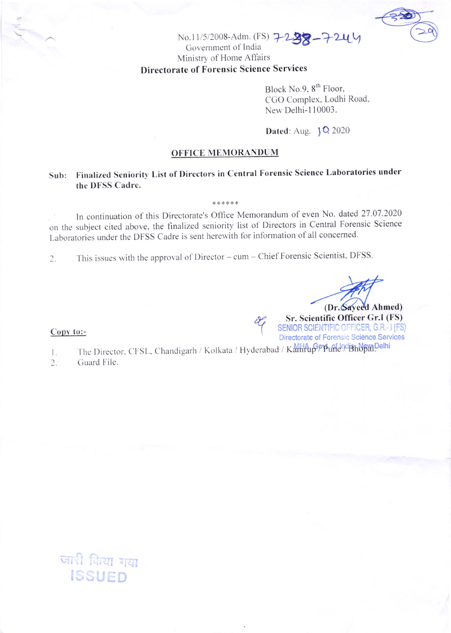

## No.11/5/2008-Adm. (FS) 7-238-7-244 Government of India Ministry of Home Affairs **Directorate of Forensic Science Services**

Block No.9, 8<sup>th</sup> Floor, CGO Complex, Lodhi Road, New Delhi-110003.

Dated: Aug. 10, 2020

## **OFFICE MEMORANDUM**

## Finalized Seniority List of Directors in Central Forensic Science Laboratories under  $Sub:$ the DFSS Cadre.

\*\*\*\*\*\*

In continuation of this Directorate's Office Memorandum of even No. dated 27.07.2020 on the subject cited above, the finalized seniority list of Directors in Central Forensic Science Laboratories under the DFSS Cadre is sent herewith for information of all concerned.

This issues with the approval of Director - cum - Chief Forensic Scientist, DFSS.  $2.$ 

(Dr. Sayeed Ahmed) Sr. Scientific Officer Gr.I (FS) SENIOR SCIENTIFIC OFFICER, G.R.- I (FS)

Directorate of Forensic Science Services

Copy to:-

The Director, CFSL, Chandigarh / Kolkata / Hyderabad / Kamrup Pp und pdf3h bpm Delhi  $\mathbf{1}$ .

Guard File.  $2.$ 

> जारी किया गया ISSUED